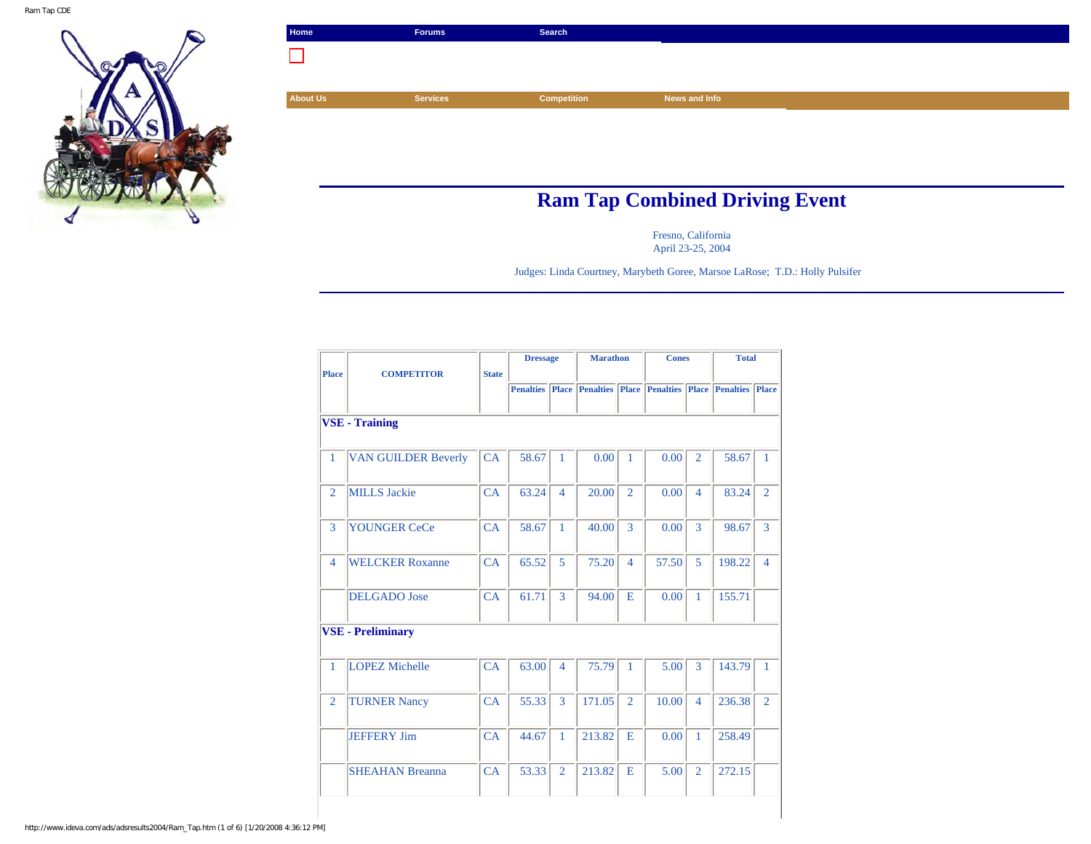

| Home            | <b>Forums</b>   | Search             |                                       |
|-----------------|-----------------|--------------------|---------------------------------------|
|                 |                 |                    |                                       |
|                 |                 |                    |                                       |
| <b>About Us</b> | <b>Services</b> | <b>Competition</b> | News and Info                         |
|                 |                 |                    |                                       |
|                 |                 |                    |                                       |
|                 |                 |                    |                                       |
|                 |                 |                    |                                       |
|                 |                 |                    | <b>Ram Tap Combined Driving Event</b> |

Fresno, California April 23-25, 2004

Judges: Linda Courtney, Marybeth Goree, Marsoe LaRose; T.D.: Holly Pulsifer

|                |                            |              | <b>Dressage</b>  |                | <b>Marathon</b>        |                | <b>Cones</b>                 |                | <b>Total</b>     |                |
|----------------|----------------------------|--------------|------------------|----------------|------------------------|----------------|------------------------------|----------------|------------------|----------------|
| <b>Place</b>   | <b>COMPETITOR</b>          | <b>State</b> |                  |                |                        |                |                              |                |                  |                |
|                |                            |              | <b>Penalties</b> |                | <b>Place Penalties</b> |                | <b>Place Penalties Place</b> |                | <b>Penalties</b> | <b>Place</b>   |
|                |                            |              |                  |                |                        |                |                              |                |                  |                |
|                | <b>VSE - Training</b>      |              |                  |                |                        |                |                              |                |                  |                |
|                |                            |              |                  |                |                        |                |                              |                |                  |                |
|                |                            |              |                  |                |                        |                |                              |                |                  |                |
| $\mathbf{1}$   | <b>VAN GUILDER Beverly</b> | CA           | 58.67            | 1              | 0.00                   | 1              | 0.00                         | $\overline{2}$ | 58.67            | 1              |
|                |                            |              |                  |                |                        |                |                              |                |                  |                |
| $\overline{2}$ | <b>MILLS</b> Jackie        | CA           | 63.24            | $\overline{4}$ | 20.00                  | $\overline{2}$ | 0.00                         | 4              | 83.24            | $\overline{2}$ |
|                |                            |              |                  |                |                        |                |                              |                |                  |                |
|                |                            |              |                  |                |                        |                |                              |                |                  |                |
| 3              | <b>YOUNGER CeCe</b>        | CA           | 58.67            | 1              | 40.00                  | 3              | 0.00                         | 3              | 98.67            | 3              |
|                |                            |              |                  |                |                        |                |                              |                |                  |                |
| $\overline{4}$ | <b>WELCKER Roxanne</b>     | CA           | 65.52            | 5              | 75.20                  | $\overline{4}$ | 57.50                        | 5              | 198.22           | $\overline{4}$ |
|                |                            |              |                  |                |                        |                |                              |                |                  |                |
|                | <b>DELGADO</b> Jose        | CA           | 61.71            | 3              | 94.00                  | E              | 0.00                         | 1              | 155.71           |                |
|                |                            |              |                  |                |                        |                |                              |                |                  |                |
|                |                            |              |                  |                |                        |                |                              |                |                  |                |
|                | <b>VSE - Preliminary</b>   |              |                  |                |                        |                |                              |                |                  |                |
|                |                            |              |                  |                |                        |                |                              |                |                  |                |
| 1              | <b>LOPEZ Michelle</b>      | CA           | 63.00            | $\overline{4}$ | 75.79                  | 1              | 5.00                         | 3              | 143.79           | $\mathbf{1}$   |
|                |                            |              |                  |                |                        |                |                              |                |                  |                |
| $\overline{2}$ | <b>TURNER Nancy</b>        | CA           | 55.33            | 3              | 171.05                 | $\overline{2}$ | 10.00                        | $\overline{4}$ | 236.38           | $\overline{2}$ |
|                |                            |              |                  |                |                        |                |                              |                |                  |                |
|                |                            |              |                  |                |                        |                |                              |                |                  |                |
|                | <b>JEFFERY Jim</b>         | CA           | 44.67            | 1              | 213.82                 | E              | 0.00                         | 1              | 258.49           |                |
|                |                            |              |                  |                |                        |                |                              |                |                  |                |
|                | <b>SHEAHAN Breanna</b>     | CA           | 53.33            | $\overline{2}$ | 213.82                 | E              | 5.00                         | $\overline{2}$ | 272.15           |                |
|                |                            |              |                  |                |                        |                |                              |                |                  |                |
|                |                            |              |                  |                |                        |                |                              |                |                  |                |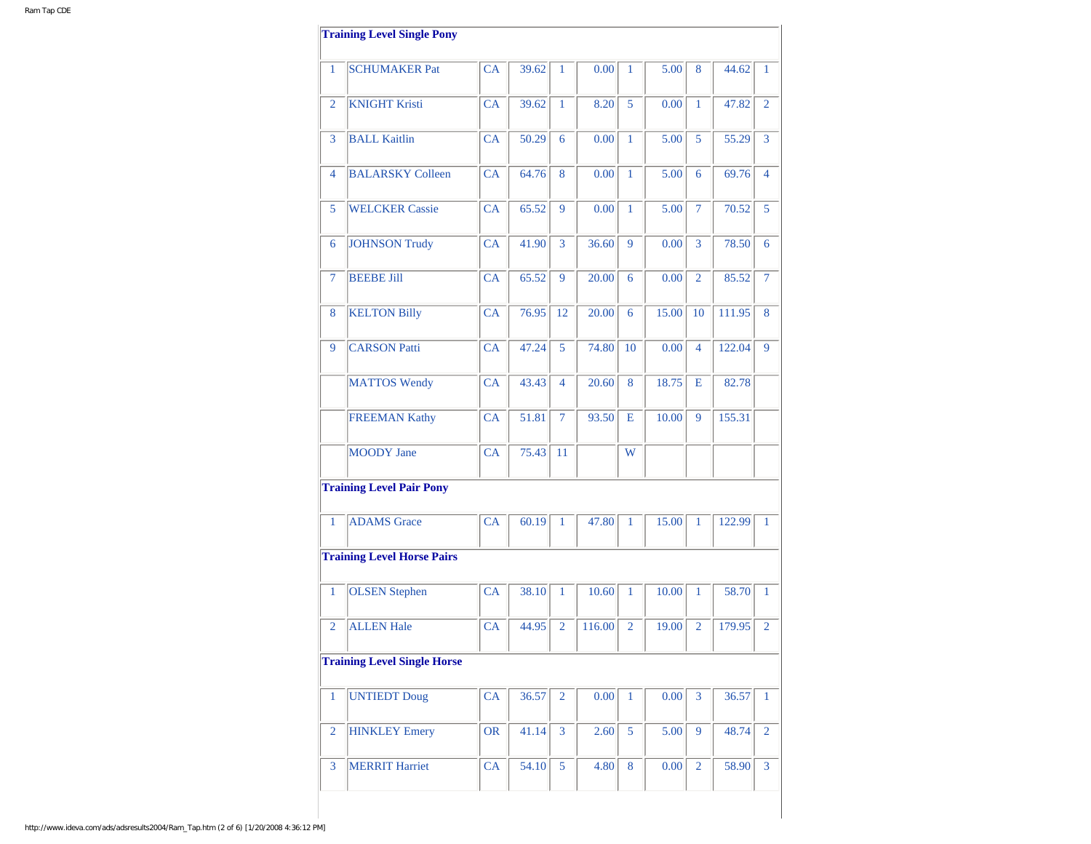|                | <b>Training Level Single Pony</b>  |           |       |                |        |                |       |                |        |                |
|----------------|------------------------------------|-----------|-------|----------------|--------|----------------|-------|----------------|--------|----------------|
| 1              | <b>SCHUMAKER Pat</b>               | <b>CA</b> | 39.62 | 1              | 0.00   | $\mathbf{1}$   | 5.00  | 8              | 44.62  | 1              |
| 2              | <b>KNIGHT Kristi</b>               | <b>CA</b> | 39.62 | $\mathbf{1}$   | 8.20   | 5              | 0.00  | 1              | 47.82  | $\overline{2}$ |
| 3              | <b>BALL Kaitlin</b>                | <b>CA</b> | 50.29 | 6              | 0.00   | $\mathbf{1}$   | 5.00  | 5              | 55.29  | 3              |
| 4              | <b>BALARSKY Colleen</b>            | CA        | 64.76 | 8              | 0.00   | $\mathbf{1}$   | 5.00  | 6              | 69.76  | $\overline{4}$ |
| 5              | <b>WELCKER Cassie</b>              | CA        | 65.52 | 9              | 0.00   | $\mathbf{1}$   | 5.00  | 7              | 70.52  | 5              |
| 6              | <b>JOHNSON Trudy</b>               | CA        | 41.90 | 3              | 36.60  | 9              | 0.00  | 3              | 78.50  | 6              |
| 7              | <b>BEEBE Jill</b>                  | CA        | 65.52 | 9              | 20.00  | 6              | 0.00  | $\overline{2}$ | 85.52  | 7              |
| 8              | <b>KELTON Billy</b>                | CA        | 76.95 | 12             | 20.00  | 6              | 15.00 | 10             | 111.95 | 8              |
| 9              | <b>CARSON Patti</b>                | <b>CA</b> | 47.24 | 5              | 74.80  | 10             | 0.00  | $\overline{4}$ | 122.04 | 9              |
|                | <b>MATTOS Wendy</b>                | <b>CA</b> | 43.43 | 4              | 20.60  | 8              | 18.75 | E              | 82.78  |                |
|                | <b>FREEMAN Kathy</b>               | CA        | 51.81 | 7              | 93.50  | Е              | 10.00 | 9              | 155.31 |                |
|                | <b>MOODY</b> Jane                  | CA        | 75.43 | 11             |        | W              |       |                |        |                |
|                | <b>Training Level Pair Pony</b>    |           |       |                |        |                |       |                |        |                |
| $\mathbf{1}$   | <b>ADAMS</b> Grace                 | CA        | 60.19 | $\mathbf{1}$   | 47.80  | $\mathbf{1}$   | 15.00 | 1              | 122.99 | $\mathbf{1}$   |
|                | <b>Training Level Horse Pairs</b>  |           |       |                |        |                |       |                |        |                |
| $\mathbf{1}$   | <b>OLSEN</b> Stephen               | CA        | 38.10 | 1              | 10.60  | 1              | 10.00 | $\mathbf{1}$   | 58.70  | 1              |
| $\overline{2}$ | <b>ALLEN Hale</b>                  | <b>CA</b> | 44.95 | $\overline{2}$ | 116.00 | $\overline{2}$ | 19.00 | $\overline{2}$ | 179.95 | $\overline{2}$ |
|                | <b>Training Level Single Horse</b> |           |       |                |        |                |       |                |        |                |
| $\mathbf{1}$   | <b>UNTIEDT Doug</b>                | CA        | 36.57 | $\overline{2}$ | 0.00   | $\mathbf{1}$   | 0.00  | 3              | 36.57  | $\mathbf{1}$   |
| $\overline{2}$ | <b>HINKLEY Emery</b>               | <b>OR</b> | 41.14 | 3              | 2.60   | 5              | 5.00  | 9              | 48.74  | $\overline{2}$ |
|                | <b>MERRIT Harriet</b>              | CA        | 54.10 | 5              | 4.80   | 8              | 0.00  | $\overline{2}$ | 58.90  | $\overline{3}$ |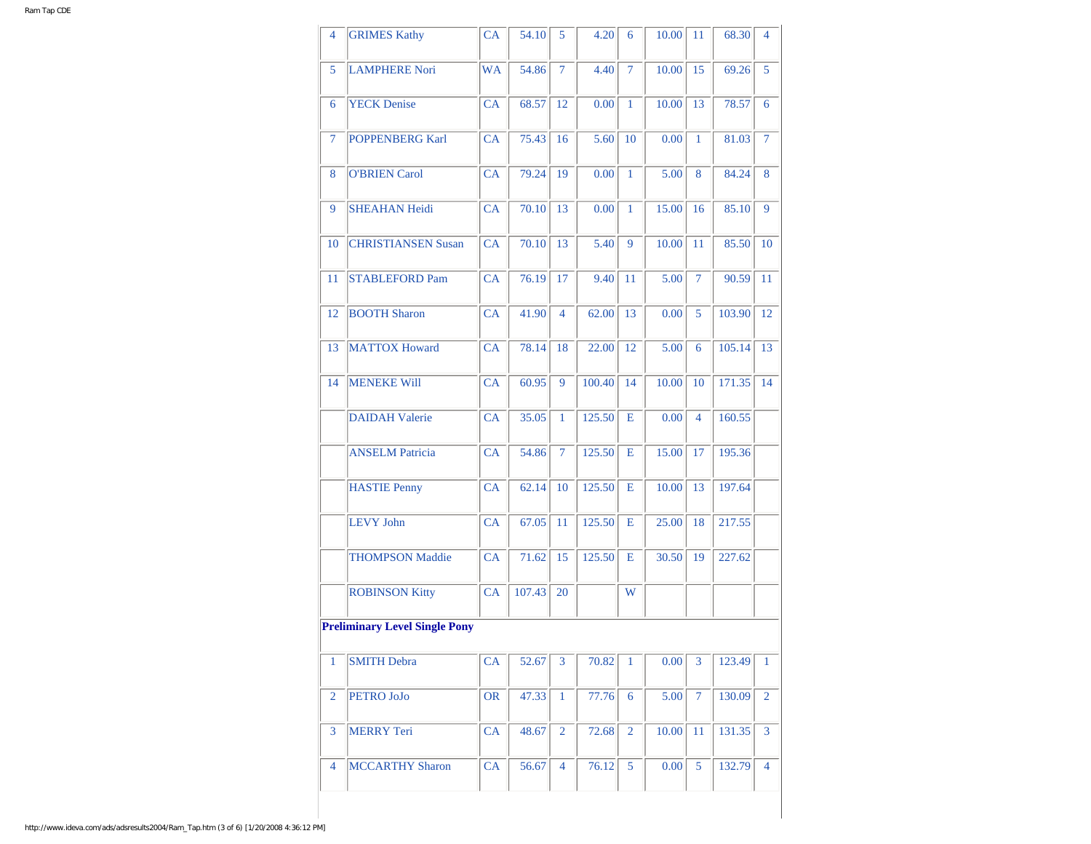| 4              | <b>GRIMES Kathy</b>                  | CA        | 54.10  | 5              | 4.20   | 6            | 10.00 | 11             | 68.30  | 4              |
|----------------|--------------------------------------|-----------|--------|----------------|--------|--------------|-------|----------------|--------|----------------|
| 5              | <b>LAMPHERE Nori</b>                 | <b>WA</b> | 54.86  | 7              | 4.40   | $\tau$       | 10.00 | 15             | 69.26  | 5              |
| 6              | <b>YECK</b> Denise                   | CA        | 68.57  | 12             | 0.00   | $\mathbf{1}$ | 10.00 | 13             | 78.57  | 6              |
| 7              | <b>POPPENBERG Karl</b>               | CA        | 75.43  | 16             | 5.60   | 10           | 0.00  | $\mathbf{1}$   | 81.03  | $\overline{7}$ |
| 8              | <b>O'BRIEN Carol</b>                 | CA        | 79.24  | 19             | 0.00   | $\mathbf{1}$ | 5.00  | 8              | 84.24  | 8              |
| 9              | <b>SHEAHAN Heidi</b>                 | CA        | 70.10  | 13             | 0.00   | 1            | 15.00 | 16             | 85.10  | 9              |
| 10             | <b>CHRISTIANSEN Susan</b>            | <b>CA</b> | 70.10  | 13             | 5.40   | 9            | 10.00 | 11             | 85.50  | 10             |
| 11             | <b>STABLEFORD Pam</b>                | CA        | 76.19  | 17             | 9.40   | 11           | 5.00  | $\tau$         | 90.59  | 11             |
| 12             | <b>BOOTH Sharon</b>                  | <b>CA</b> | 41.90  | 4              | 62.00  | 13           | 0.00  | 5              | 103.90 | 12             |
| 13             | <b>MATTOX Howard</b>                 | CA        | 78.14  | 18             | 22.00  | 12           | 5.00  | 6              | 105.14 | 13             |
| 14             | <b>MENEKE Will</b>                   | CA        | 60.95  | 9              | 100.40 | 14           | 10.00 | 10             | 171.35 | 14             |
|                | <b>DAIDAH Valerie</b>                | CA        | 35.05  | 1              | 125.50 | Е            | 0.00  | $\overline{4}$ | 160.55 |                |
|                | <b>ANSELM Patricia</b>               | CA        | 54.86  | 7              | 125.50 | Е            | 15.00 | 17             | 195.36 |                |
|                | <b>HASTIE Penny</b>                  | CA        | 62.14  | 10             | 125.50 | Е            | 10.00 | 13             | 197.64 |                |
|                | <b>LEVY John</b>                     | CA        | 67.05  | 11             | 125.50 | Е            | 25.00 | 18             | 217.55 |                |
|                | <b>THOMPSON Maddie</b>               | CA        | 71.62  | 15             | 125.50 | Е            | 30.50 | 19             | 227.62 |                |
|                | <b>ROBINSON Kitty</b>                | CA        | 107.43 | 20             |        | W            |       |                |        |                |
|                | <b>Preliminary Level Single Pony</b> |           |        |                |        |              |       |                |        |                |
| 1              | <b>SMITH Debra</b>                   | <b>CA</b> | 52.67  | 3              | 70.82  | 1            | 0.00  | 3              | 123.49 | 1              |
| 2              | PETRO JoJo                           | <b>OR</b> | 47.33  | 1              | 77.76  | 6            | 5.00  | $\tau$         | 130.09 | 2              |
| 3              | <b>MERRY</b> Teri                    | СA        | 48.67  | $\overline{2}$ | 72.68  | 2            | 10.00 | 11             | 131.35 | 3              |
| $\overline{4}$ | <b>MCCARTHY Sharon</b>               | CA        | 56.67  | 4              | 76.12  | 5            | 0.00  | 5              | 132.79 | $\overline{4}$ |
|                |                                      |           |        |                |        |              |       |                |        |                |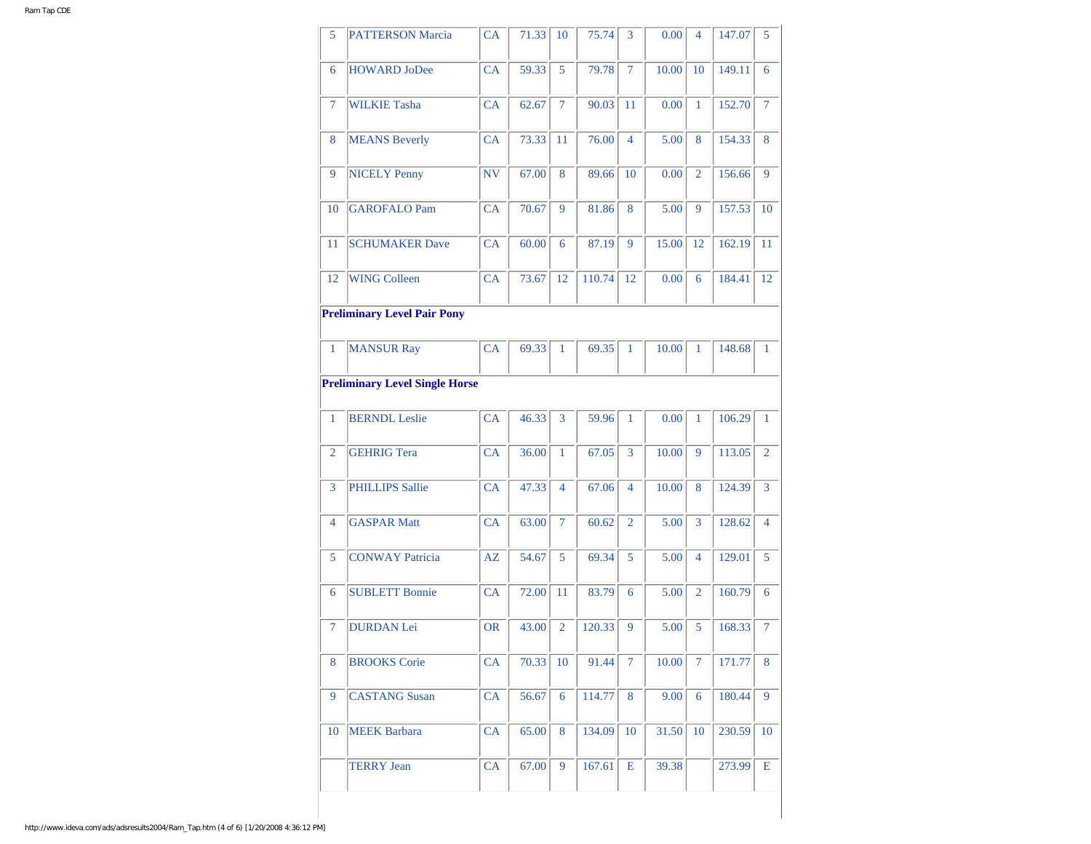| 5              | <b>PATTERSON Marcia</b>               | CA        | 71.33 | 10             | 75.74  | 3              | 0.00  | 4              | 147.07 | 5              |
|----------------|---------------------------------------|-----------|-------|----------------|--------|----------------|-------|----------------|--------|----------------|
| 6              | <b>HOWARD JoDee</b>                   | <b>CA</b> | 59.33 | 5              | 79.78  | $\tau$         | 10.00 | 10             | 149.11 | 6              |
| 7              | <b>WILKIE Tasha</b>                   | <b>CA</b> | 62.67 | $\overline{7}$ | 90.03  | 11             | 0.00  | $\mathbf{1}$   | 152.70 | $\tau$         |
| 8              | <b>MEANS Beverly</b>                  | <b>CA</b> | 73.33 | 11             | 76.00  | $\overline{4}$ | 5.00  | 8              | 154.33 | 8              |
| 9              | <b>NICELY Penny</b>                   | NV        | 67.00 | 8              | 89.66  | 10             | 0.00  | $\overline{2}$ | 156.66 | 9              |
| 10             | <b>GAROFALO Pam</b>                   | CA        | 70.67 | 9              | 81.86  | 8              | 5.00  | 9              | 157.53 | 10             |
| 11             | <b>SCHUMAKER Dave</b>                 | CA        | 60.00 | 6              | 87.19  | 9              | 15.00 | 12             | 162.19 | 11             |
| 12             | <b>WING Colleen</b>                   | CA        | 73.67 | 12             | 110.74 | 12             | 0.00  | 6              | 184.41 | 12             |
|                | <b>Preliminary Level Pair Pony</b>    |           |       |                |        |                |       |                |        |                |
| 1              | <b>MANSUR Ray</b>                     | <b>CA</b> | 69.33 | 1              | 69.35  | 1              | 10.00 | 1              | 148.68 | $\mathbf{1}$   |
|                | <b>Preliminary Level Single Horse</b> |           |       |                |        |                |       |                |        |                |
| 1              | <b>BERNDL</b> Leslie                  | CA        | 46.33 | 3              | 59.96  | 1              | 0.00  | 1              | 106.29 | 1              |
| $\overline{2}$ | <b>GEHRIG Tera</b>                    | CA        | 36.00 | 1              | 67.05  | 3              | 10.00 | 9              | 113.05 | $\overline{2}$ |
| 3              | <b>PHILLIPS Sallie</b>                | <b>CA</b> | 47.33 | $\overline{4}$ | 67.06  | 4              | 10.00 | 8              | 124.39 | 3              |
| 4              | <b>GASPAR Matt</b>                    | CA        | 63.00 | $\overline{7}$ | 60.62  | $\overline{2}$ | 5.00  | 3              | 128.62 | $\overline{4}$ |
| 5              | <b>CONWAY Patricia</b>                | AZ        | 54.67 | 5              | 69.34  | 5              | 5.00  | $\overline{4}$ | 129.01 | 5              |
| 6              | <b>SUBLETT Bonnie</b>                 | CA        | 72.00 | 11             | 83.79  | 6              | 5.00  | $\overline{2}$ | 160.79 | 6              |
| $\tau$         | <b>DURDAN</b> Lei                     | <b>OR</b> | 43.00 | $\overline{2}$ | 120.33 | 9              | 5.00  | 5              | 168.33 | $\overline{7}$ |
| 8              | <b>BROOKS</b> Corie                   | CA        | 70.33 | 10             | 91.44  | 7              | 10.00 | 7              | 171.77 | 8              |
| 9              | <b>CASTANG Susan</b>                  | CA        | 56.67 | 6              | 114.77 | 8              | 9.00  | 6              | 180.44 | 9              |
|                | <b>MEEK Barbara</b>                   | CA        | 65.00 | 8              | 134.09 | 10             | 31.50 | 10             | 230.59 | 10             |
| 10             |                                       |           |       |                |        |                |       |                |        |                |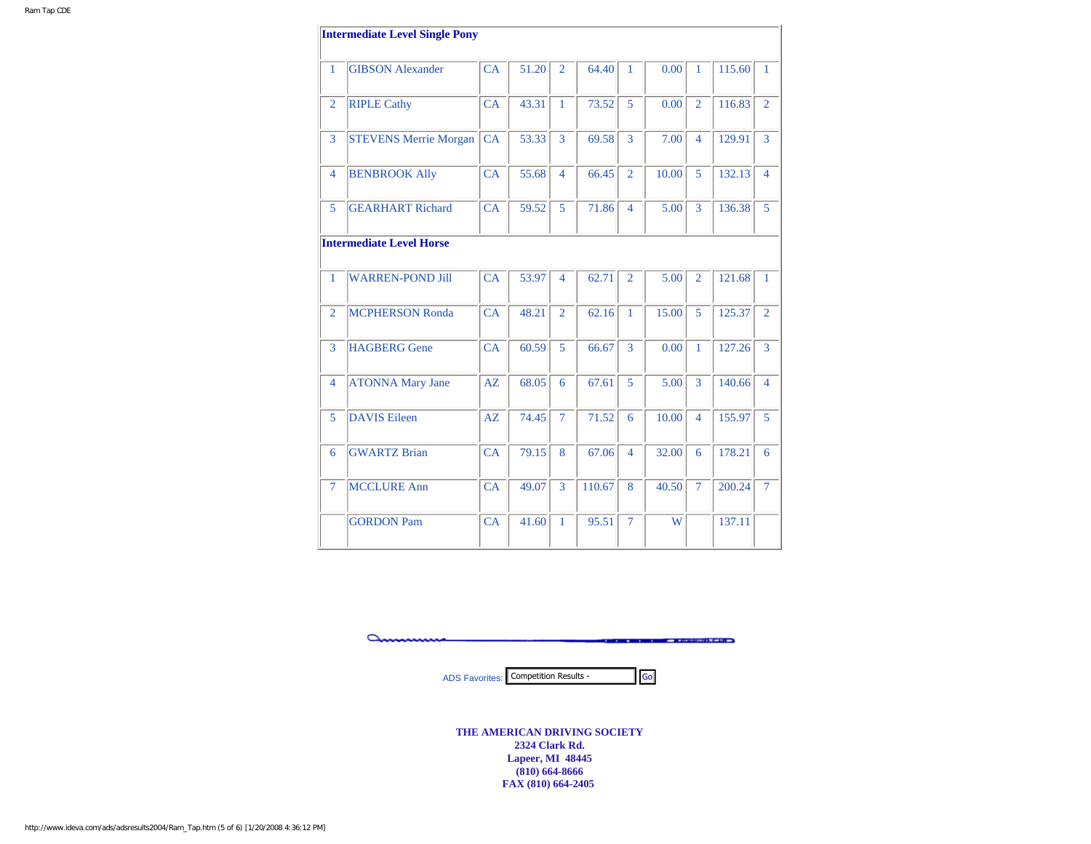|                | <b>Intermediate Level Single Pony</b> |           |       |                |        |                          |       |                |        |                |
|----------------|---------------------------------------|-----------|-------|----------------|--------|--------------------------|-------|----------------|--------|----------------|
| 1              | <b>GIBSON Alexander</b>               | CA        | 51.20 | $\overline{2}$ | 64.40  | 1                        | 0.00  | $\mathbf{1}$   | 115.60 | 1              |
| $\overline{2}$ | <b>RIPLE Cathy</b>                    | CA        | 43.31 | $\mathbf{1}$   | 73.52  | 5                        | 0.00  | $\overline{2}$ | 116.83 | $\overline{2}$ |
| 3              | <b>STEVENS Merrie Morgan</b>          | CA        | 53.33 | 3              | 69.58  | 3                        | 7.00  | $\overline{4}$ | 129.91 | $\overline{3}$ |
| 4              | <b>BENBROOK Ally</b>                  | CA        | 55.68 | $\overline{4}$ | 66.45  | $\overline{2}$           | 10.00 | 5              | 132.13 | $\overline{4}$ |
| 5              | <b>GEARHART Richard</b>               | CA        | 59.52 | 5              | 71.86  | $\overline{4}$           | 5.00  | 3              | 136.38 | 5              |
|                | <b>Intermediate Level Horse</b>       |           |       |                |        |                          |       |                |        |                |
| 1              | <b>WARREN-POND Jill</b>               | CA        | 53.97 | $\overline{4}$ | 62.71  | $\overline{2}$           | 5.00  | $\overline{2}$ | 121.68 | $\mathbf{1}$   |
| $\overline{2}$ | <b>MCPHERSON Ronda</b>                | CA        | 48.21 | $\overline{2}$ | 62.16  | 1                        | 15.00 | 5              | 125.37 | $\overline{2}$ |
| 3              | <b>HAGBERG</b> Gene                   | CA        | 60.59 | 5              | 66.67  | 3                        | 0.00  | $\mathbf{1}$   | 127.26 | 3              |
| 4              | <b>ATONNA Mary Jane</b>               | AZ        | 68.05 | 6              | 67.61  | 5                        | 5.00  | $\overline{3}$ | 140.66 | $\overline{4}$ |
| 5              | <b>DAVIS Eileen</b>                   | AZ        | 74.45 | $\overline{7}$ | 71.52  | 6                        | 10.00 | $\overline{4}$ | 155.97 | 5              |
| 6              | <b>GWARTZ Brian</b>                   | CA        | 79.15 | 8              | 67.06  | $\overline{\mathcal{A}}$ | 32.00 | 6              | 178.21 | 6              |
| $\tau$         | <b>MCCLURE Ann</b>                    | CA        | 49.07 | 3              | 110.67 | 8                        | 40.50 | $\overline{7}$ | 200.24 | $\overline{7}$ |
|                | <b>GORDON Pam</b>                     | <b>CA</b> | 41.60 | 1              | 95.51  | $\overline{7}$           | W     |                | 137.11 |                |

amm **Committee Constitution of BUNETIC COMP** 

ADS Favorites: Competition Results -

**THE AMERICAN DRIVING SOCIETY 2324 Clark Rd. Lapeer, MI 48445 (810) 664-8666 FAX (810) 664-2405**